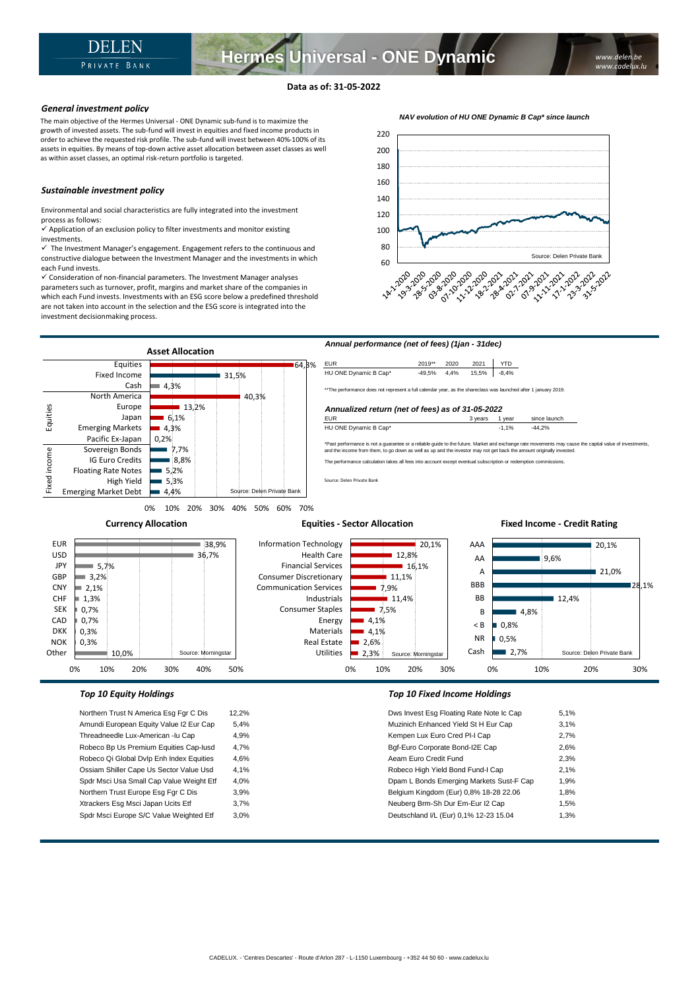## **Data as of: 31-05-2022**

### *General investment policy*

The main objective of the Hermes Universal - ONE Dynamic sub-fund is to maximize the growth of invested assets. The sub-fund will invest in equities and fixed income products in order to achieve the requested risk profile. The sub-fund will invest between 40%-100% of its assets in equities. By means of top-down active asset allocation between asset classes as well as within asset classes, an optimal risk-return portfolio is targeted.

## *Sustainable investment policy*

Environmental and social characteristics are fully integrated into the investment process as follows:

 $\checkmark$  Application of an exclusion policy to filter investments and monitor existing investments.

 $\checkmark$  The Investment Manager's engagement. Engagement refers to the continuous and constructive dialogue between the Investment Manager and the investments in which each Fund invests.

✓ Consideration of non-financial parameters. The Investment Manager analyses parameters such as turnover, profit, margins and market share of the companies in which each Fund invests. Investments with an ESG score below a predefined threshold are not taken into account in the selection and the ESG score is integrated into the investment decisionmaking process.





Northern Trust N America Esg Fgr C Dis 12,2% Amundi European Equity Value I2 Eur Cap 5,4% Threadneedle Lux-American -lu Cap 4,9% Robeco Bp Us Premium Equities Cap-Iusd 4,7% Robeco Qi Global Dvlp Enh Index Equities 4,6% Ossiam Shiller Cape Us Sector Value Usd 4,1% Spdr Msci Usa Small Cap Value Weight Etf 4,0% Northern Trust Europe Esg Fgr C Dis 3,9% Xtrackers Esg Msci Japan Ucits Etf 3,7% Spdr Msci Europe S/C Value Weighted Etf 3,0%

| Dws Invest Esg Floating Rate Note Ic Cap | 5.1% |
|------------------------------------------|------|
| Muzinich Enhanced Yield St H Eur Cap     | 3,1% |
| Kempen Lux Euro Cred PI-I Cap            | 2,7% |
| Bgf-Euro Corporate Bond-I2E Cap          | 2.6% |
| Aeam Euro Credit Fund                    | 2,3% |
| Robeco High Yield Bond Fund-I Cap        | 2,1% |
| Dpam L Bonds Emerging Markets Sust-F Cap | 1,9% |
| Belgium Kingdom (Eur) 0,8% 18-28 22.06   | 1,8% |
| Neuberg Brm-Sh Dur Em-Eur I2 Cap         | 1,5% |
| Deutschland I/L (Eur) 0,1% 12-23 15.04   | 1,3% |
|                                          |      |